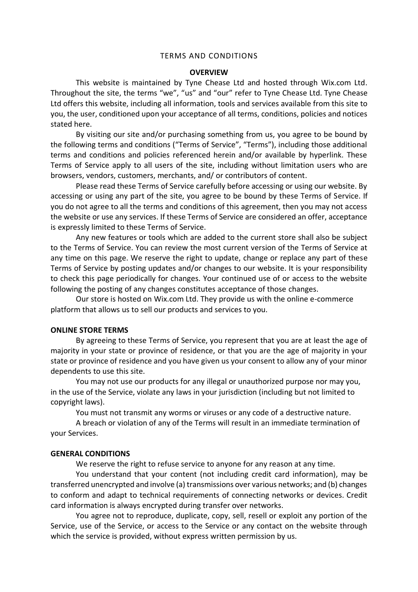#### TERMS AND CONDITIONS

## **OVERVIEW**

This website is maintained by Tyne Chease Ltd and hosted through Wix.com Ltd. Throughout the site, the terms "we", "us" and "our" refer to Tyne Chease Ltd. Tyne Chease Ltd offers this website, including all information, tools and services available from this site to you, the user, conditioned upon your acceptance of all terms, conditions, policies and notices stated here.

By visiting our site and/or purchasing something from us, you agree to be bound by the following terms and conditions ("Terms of Service", "Terms"), including those additional terms and conditions and policies referenced herein and/or available by hyperlink. These Terms of Service apply to all users of the site, including without limitation users who are browsers, vendors, customers, merchants, and/ or contributors of content.

Please read these Terms of Service carefully before accessing or using our website. By accessing or using any part of the site, you agree to be bound by these Terms of Service. If you do not agree to all the terms and conditions of this agreement, then you may not access the website or use any services. If these Terms of Service are considered an offer, acceptance is expressly limited to these Terms of Service.

Any new features or tools which are added to the current store shall also be subject to the Terms of Service. You can review the most current version of the Terms of Service at any time on this page. We reserve the right to update, change or replace any part of these Terms of Service by posting updates and/or changes to our website. It is your responsibility to check this page periodically for changes. Your continued use of or access to the website following the posting of any changes constitutes acceptance of those changes.

Our store is hosted on Wix.com Ltd. They provide us with the online e-commerce platform that allows us to sell our products and services to you.

### **ONLINE STORE TERMS**

By agreeing to these Terms of Service, you represent that you are at least the age of majority in your state or province of residence, or that you are the age of majority in your state or province of residence and you have given us your consent to allow any of your minor dependents to use this site.

You may not use our products for any illegal or unauthorized purpose nor may you, in the use of the Service, violate any laws in your jurisdiction (including but not limited to copyright laws).

You must not transmit any worms or viruses or any code of a destructive nature.

A breach or violation of any of the Terms will result in an immediate termination of your Services.

#### **GENERAL CONDITIONS**

We reserve the right to refuse service to anyone for any reason at any time.

You understand that your content (not including credit card information), may be transferred unencrypted and involve (a) transmissions over various networks; and (b) changes to conform and adapt to technical requirements of connecting networks or devices. Credit card information is always encrypted during transfer over networks.

You agree not to reproduce, duplicate, copy, sell, resell or exploit any portion of the Service, use of the Service, or access to the Service or any contact on the website through which the service is provided, without express written permission by us.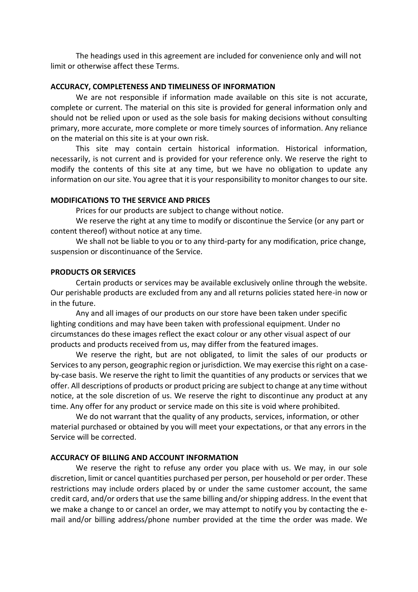The headings used in this agreement are included for convenience only and will not limit or otherwise affect these Terms.

# **ACCURACY, COMPLETENESS AND TIMELINESS OF INFORMATION**

We are not responsible if information made available on this site is not accurate, complete or current. The material on this site is provided for general information only and should not be relied upon or used as the sole basis for making decisions without consulting primary, more accurate, more complete or more timely sources of information. Any reliance on the material on this site is at your own risk.

This site may contain certain historical information. Historical information, necessarily, is not current and is provided for your reference only. We reserve the right to modify the contents of this site at any time, but we have no obligation to update any information on our site. You agree that it is your responsibility to monitor changes to our site.

# **MODIFICATIONS TO THE SERVICE AND PRICES**

Prices for our products are subject to change without notice.

We reserve the right at any time to modify or discontinue the Service (or any part or content thereof) without notice at any time.

We shall not be liable to you or to any third-party for any modification, price change, suspension or discontinuance of the Service.

# **PRODUCTS OR SERVICES**

Certain products or services may be available exclusively online through the website. Our perishable products are excluded from any and all returns policies stated here-in now or in the future.

Any and all images of our products on our store have been taken under specific lighting conditions and may have been taken with professional equipment. Under no circumstances do these images reflect the exact colour or any other visual aspect of our products and products received from us, may differ from the featured images.

We reserve the right, but are not obligated, to limit the sales of our products or Services to any person, geographic region or jurisdiction. We may exercise this right on a caseby-case basis. We reserve the right to limit the quantities of any products or services that we offer. All descriptions of products or product pricing are subject to change at any time without notice, at the sole discretion of us. We reserve the right to discontinue any product at any time. Any offer for any product or service made on this site is void where prohibited.

We do not warrant that the quality of any products, services, information, or other material purchased or obtained by you will meet your expectations, or that any errors in the Service will be corrected.

# **ACCURACY OF BILLING AND ACCOUNT INFORMATION**

We reserve the right to refuse any order you place with us. We may, in our sole discretion, limit or cancel quantities purchased per person, per household or per order. These restrictions may include orders placed by or under the same customer account, the same credit card, and/or orders that use the same billing and/or shipping address. In the event that we make a change to or cancel an order, we may attempt to notify you by contacting the email and/or billing address/phone number provided at the time the order was made. We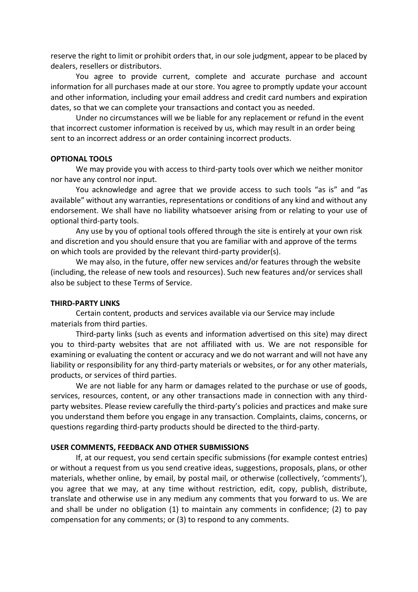reserve the right to limit or prohibit orders that, in our sole judgment, appear to be placed by dealers, resellers or distributors.

You agree to provide current, complete and accurate purchase and account information for all purchases made at our store. You agree to promptly update your account and other information, including your email address and credit card numbers and expiration dates, so that we can complete your transactions and contact you as needed.

Under no circumstances will we be liable for any replacement or refund in the event that incorrect customer information is received by us, which may result in an order being sent to an incorrect address or an order containing incorrect products.

# **OPTIONAL TOOLS**

We may provide you with access to third-party tools over which we neither monitor nor have any control nor input.

You acknowledge and agree that we provide access to such tools "as is" and "as available" without any warranties, representations or conditions of any kind and without any endorsement. We shall have no liability whatsoever arising from or relating to your use of optional third-party tools.

Any use by you of optional tools offered through the site is entirely at your own risk and discretion and you should ensure that you are familiar with and approve of the terms on which tools are provided by the relevant third-party provider(s).

We may also, in the future, offer new services and/or features through the website (including, the release of new tools and resources). Such new features and/or services shall also be subject to these Terms of Service.

# **THIRD-PARTY LINKS**

Certain content, products and services available via our Service may include materials from third parties.

Third-party links (such as events and information advertised on this site) may direct you to third-party websites that are not affiliated with us. We are not responsible for examining or evaluating the content or accuracy and we do not warrant and will not have any liability or responsibility for any third-party materials or websites, or for any other materials, products, or services of third parties.

We are not liable for any harm or damages related to the purchase or use of goods, services, resources, content, or any other transactions made in connection with any thirdparty websites. Please review carefully the third-party's policies and practices and make sure you understand them before you engage in any transaction. Complaints, claims, concerns, or questions regarding third-party products should be directed to the third-party.

#### **USER COMMENTS, FEEDBACK AND OTHER SUBMISSIONS**

If, at our request, you send certain specific submissions (for example contest entries) or without a request from us you send creative ideas, suggestions, proposals, plans, or other materials, whether online, by email, by postal mail, or otherwise (collectively, 'comments'), you agree that we may, at any time without restriction, edit, copy, publish, distribute, translate and otherwise use in any medium any comments that you forward to us. We are and shall be under no obligation (1) to maintain any comments in confidence; (2) to pay compensation for any comments; or (3) to respond to any comments.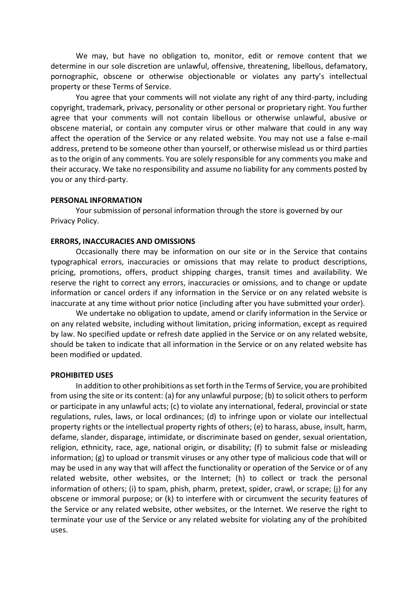We may, but have no obligation to, monitor, edit or remove content that we determine in our sole discretion are unlawful, offensive, threatening, libellous, defamatory, pornographic, obscene or otherwise objectionable or violates any party's intellectual property or these Terms of Service.

You agree that your comments will not violate any right of any third-party, including copyright, trademark, privacy, personality or other personal or proprietary right. You further agree that your comments will not contain libellous or otherwise unlawful, abusive or obscene material, or contain any computer virus or other malware that could in any way affect the operation of the Service or any related website. You may not use a false e-mail address, pretend to be someone other than yourself, or otherwise mislead us or third parties as to the origin of any comments. You are solely responsible for any comments you make and their accuracy. We take no responsibility and assume no liability for any comments posted by you or any third-party.

#### **PERSONAL INFORMATION**

Your submission of personal information through the store is governed by our Privacy Policy.

# **ERRORS, INACCURACIES AND OMISSIONS**

Occasionally there may be information on our site or in the Service that contains typographical errors, inaccuracies or omissions that may relate to product descriptions, pricing, promotions, offers, product shipping charges, transit times and availability. We reserve the right to correct any errors, inaccuracies or omissions, and to change or update information or cancel orders if any information in the Service or on any related website is inaccurate at any time without prior notice (including after you have submitted your order).

We undertake no obligation to update, amend or clarify information in the Service or on any related website, including without limitation, pricing information, except as required by law. No specified update or refresh date applied in the Service or on any related website, should be taken to indicate that all information in the Service or on any related website has been modified or updated.

### **PROHIBITED USES**

In addition to other prohibitions as set forth in the Terms of Service, you are prohibited from using the site or its content: (a) for any unlawful purpose; (b) to solicit others to perform or participate in any unlawful acts; (c) to violate any international, federal, provincial or state regulations, rules, laws, or local ordinances; (d) to infringe upon or violate our intellectual property rights or the intellectual property rights of others; (e) to harass, abuse, insult, harm, defame, slander, disparage, intimidate, or discriminate based on gender, sexual orientation, religion, ethnicity, race, age, national origin, or disability; (f) to submit false or misleading information; (g) to upload or transmit viruses or any other type of malicious code that will or may be used in any way that will affect the functionality or operation of the Service or of any related website, other websites, or the Internet; (h) to collect or track the personal information of others; (i) to spam, phish, pharm, pretext, spider, crawl, or scrape; (j) for any obscene or immoral purpose; or (k) to interfere with or circumvent the security features of the Service or any related website, other websites, or the Internet. We reserve the right to terminate your use of the Service or any related website for violating any of the prohibited uses.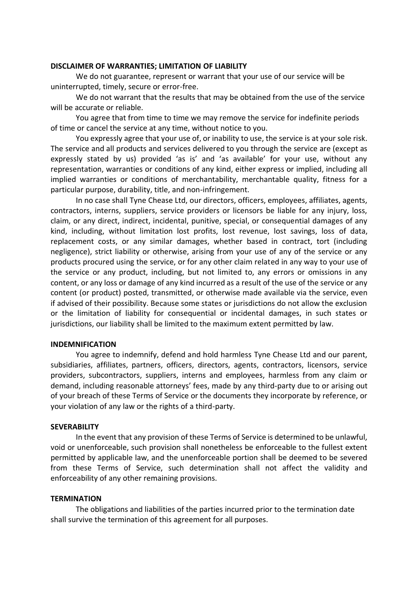# **DISCLAIMER OF WARRANTIES; LIMITATION OF LIABILITY**

We do not guarantee, represent or warrant that your use of our service will be uninterrupted, timely, secure or error-free.

We do not warrant that the results that may be obtained from the use of the service will be accurate or reliable.

You agree that from time to time we may remove the service for indefinite periods of time or cancel the service at any time, without notice to you.

You expressly agree that your use of, or inability to use, the service is at your sole risk. The service and all products and services delivered to you through the service are (except as expressly stated by us) provided 'as is' and 'as available' for your use, without any representation, warranties or conditions of any kind, either express or implied, including all implied warranties or conditions of merchantability, merchantable quality, fitness for a particular purpose, durability, title, and non-infringement.

In no case shall Tyne Chease Ltd, our directors, officers, employees, affiliates, agents, contractors, interns, suppliers, service providers or licensors be liable for any injury, loss, claim, or any direct, indirect, incidental, punitive, special, or consequential damages of any kind, including, without limitation lost profits, lost revenue, lost savings, loss of data, replacement costs, or any similar damages, whether based in contract, tort (including negligence), strict liability or otherwise, arising from your use of any of the service or any products procured using the service, or for any other claim related in any way to your use of the service or any product, including, but not limited to, any errors or omissions in any content, or any loss or damage of any kind incurred as a result of the use of the service or any content (or product) posted, transmitted, or otherwise made available via the service, even if advised of their possibility. Because some states or jurisdictions do not allow the exclusion or the limitation of liability for consequential or incidental damages, in such states or jurisdictions, our liability shall be limited to the maximum extent permitted by law.

### **INDEMNIFICATION**

You agree to indemnify, defend and hold harmless Tyne Chease Ltd and our parent, subsidiaries, affiliates, partners, officers, directors, agents, contractors, licensors, service providers, subcontractors, suppliers, interns and employees, harmless from any claim or demand, including reasonable attorneys' fees, made by any third-party due to or arising out of your breach of these Terms of Service or the documents they incorporate by reference, or your violation of any law or the rights of a third-party.

#### **SEVERABILITY**

In the event that any provision of these Terms of Service is determined to be unlawful, void or unenforceable, such provision shall nonetheless be enforceable to the fullest extent permitted by applicable law, and the unenforceable portion shall be deemed to be severed from these Terms of Service, such determination shall not affect the validity and enforceability of any other remaining provisions.

# **TERMINATION**

The obligations and liabilities of the parties incurred prior to the termination date shall survive the termination of this agreement for all purposes.